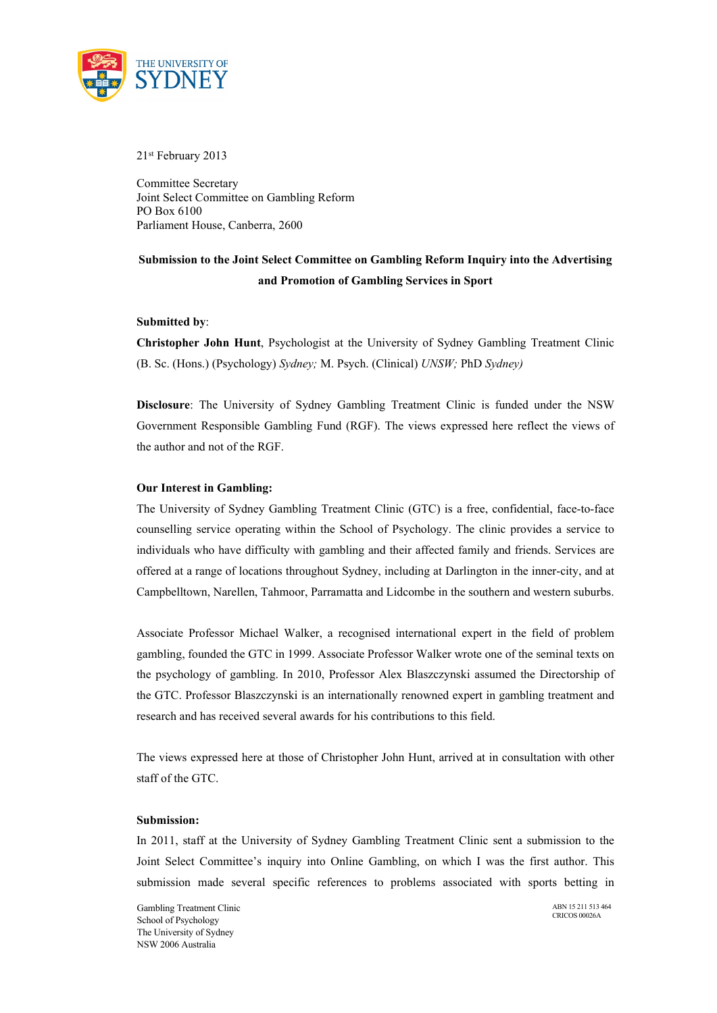

21st February 2013

Committee Secretary Joint Select Committee on Gambling Reform PO Box 6100 Parliament House, Canberra, 2600

# **Submission to the Joint Select Committee on Gambling Reform Inquiry into the Advertising and Promotion of Gambling Services in Sport**

## **Submitted by**:

**Christopher John Hunt**, Psychologist at the University of Sydney Gambling Treatment Clinic (B. Sc. (Hons.) (Psychology) *Sydney;* M. Psych. (Clinical) *UNSW;* PhD *Sydney)*

**Disclosure**: The University of Sydney Gambling Treatment Clinic is funded under the NSW Government Responsible Gambling Fund (RGF). The views expressed here reflect the views of the author and not of the RGF.

## **Our Interest in Gambling:**

The University of Sydney Gambling Treatment Clinic (GTC) is a free, confidential, face-to-face counselling service operating within the School of Psychology. The clinic provides a service to individuals who have difficulty with gambling and their affected family and friends. Services are offered at a range of locations throughout Sydney, including at Darlington in the inner-city, and at Campbelltown, Narellen, Tahmoor, Parramatta and Lidcombe in the southern and western suburbs.

Associate Professor Michael Walker, a recognised international expert in the field of problem gambling, founded the GTC in 1999. Associate Professor Walker wrote one of the seminal texts on the psychology of gambling. In 2010, Professor Alex Blaszczynski assumed the Directorship of the GTC. Professor Blaszczynski is an internationally renowned expert in gambling treatment and research and has received several awards for his contributions to this field.

The views expressed here at those of Christopher John Hunt, arrived at in consultation with other staff of the GTC.

#### **Submission:**

In 2011, staff at the University of Sydney Gambling Treatment Clinic sent a submission to the Joint Select Committee's inquiry into Online Gambling, on which I was the first author. This submission made several specific references to problems associated with sports betting in

Gambling Treatment Clinic School of Psychology The University of Sydney NSW 2006 Australia

ABN 15 211 513 464 CRICOS 00026A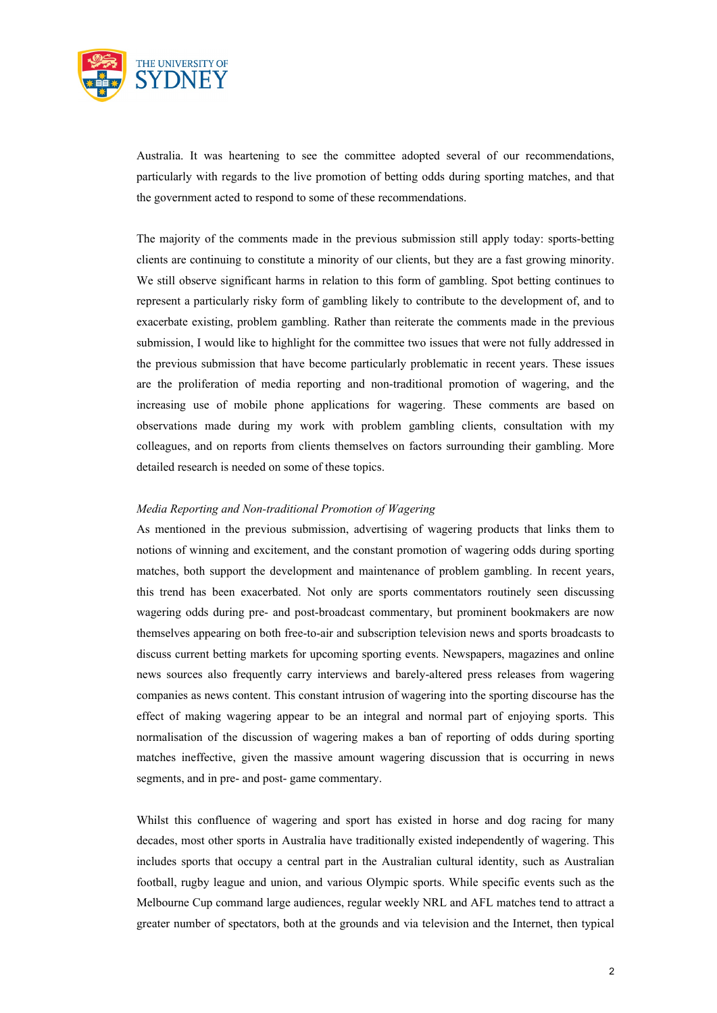

Australia. It was heartening to see the committee adopted several of our recommendations, particularly with regards to the live promotion of betting odds during sporting matches, and that the government acted to respond to some of these recommendations.

The majority of the comments made in the previous submission still apply today: sports-betting clients are continuing to constitute a minority of our clients, but they are a fast growing minority. We still observe significant harms in relation to this form of gambling. Spot betting continues to represent a particularly risky form of gambling likely to contribute to the development of, and to exacerbate existing, problem gambling. Rather than reiterate the comments made in the previous submission, I would like to highlight for the committee two issues that were not fully addressed in the previous submission that have become particularly problematic in recent years. These issues are the proliferation of media reporting and non-traditional promotion of wagering, and the increasing use of mobile phone applications for wagering. These comments are based on observations made during my work with problem gambling clients, consultation with my colleagues, and on reports from clients themselves on factors surrounding their gambling. More detailed research is needed on some of these topics.

### *Media Reporting and Non-traditional Promotion of Wagering*

As mentioned in the previous submission, advertising of wagering products that links them to notions of winning and excitement, and the constant promotion of wagering odds during sporting matches, both support the development and maintenance of problem gambling. In recent years, this trend has been exacerbated. Not only are sports commentators routinely seen discussing wagering odds during pre- and post-broadcast commentary, but prominent bookmakers are now themselves appearing on both free-to-air and subscription television news and sports broadcasts to discuss current betting markets for upcoming sporting events. Newspapers, magazines and online news sources also frequently carry interviews and barely-altered press releases from wagering companies as news content. This constant intrusion of wagering into the sporting discourse has the effect of making wagering appear to be an integral and normal part of enjoying sports. This normalisation of the discussion of wagering makes a ban of reporting of odds during sporting matches ineffective, given the massive amount wagering discussion that is occurring in news segments, and in pre- and post- game commentary.

Whilst this confluence of wagering and sport has existed in horse and dog racing for many decades, most other sports in Australia have traditionally existed independently of wagering. This includes sports that occupy a central part in the Australian cultural identity, such as Australian football, rugby league and union, and various Olympic sports. While specific events such as the Melbourne Cup command large audiences, regular weekly NRL and AFL matches tend to attract a greater number of spectators, both at the grounds and via television and the Internet, then typical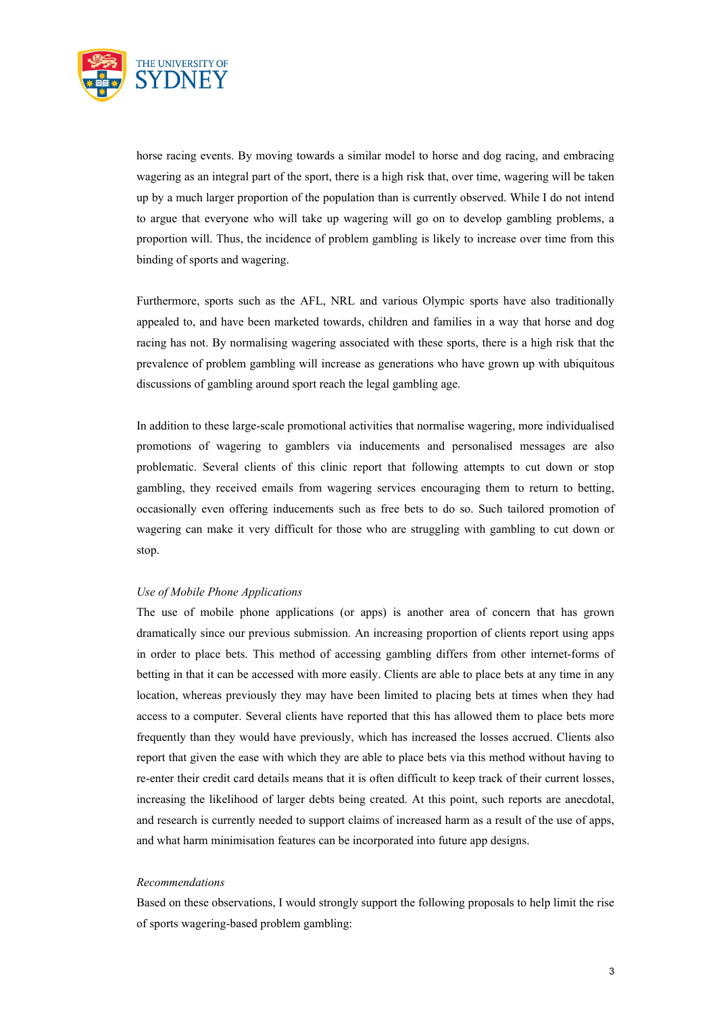

horse racing events. By moving towards a similar model to horse and dog racing, and embracing wagering as an integral part of the sport, there is a high risk that, over time, wagering will be taken up by a much larger proportion of the population than is currently observed. While I do not intend to argue that everyone who will take up wagering will go on to develop gambling problems, a proportion will. Thus, the incidence of problem gambling is likely to increase over time from this binding of sports and wagering.

Furthermore, sports such as the AFL, NRL and various Olympic sports have also traditionally appealed to, and have been marketed towards, children and families in a way that horse and dog racing has not. By normalising wagering associated with these sports, there is a high risk that the prevalence of problem gambling will increase as generations who have grown up with ubiquitous discussions of gambling around sport reach the legal gambling age.

In addition to these large-scale promotional activities that normalise wagering, more individualised promotions of wagering to gamblers via inducements and personalised messages are also problematic. Several clients of this clinic report that following attempts to cut down or stop gambling, they received emails from wagering services encouraging them to return to betting, occasionally even offering inducements such as free bets to do so. Such tailored promotion of wagering can make it very difficult for those who are struggling with gambling to cut down or stop.

#### *Use of Mobile Phone Applications*

The use of mobile phone applications (or apps) is another area of concern that has grown dramatically since our previous submission. An increasing proportion of clients report using apps in order to place bets. This method of accessing gambling differs from other internet-forms of betting in that it can be accessed with more easily. Clients are able to place bets at any time in any location, whereas previously they may have been limited to placing bets at times when they had access to a computer. Several clients have reported that this has allowed them to place bets more frequently than they would have previously, which has increased the losses accrued. Clients also report that given the ease with which they are able to place bets via this method without having to re-enter their credit card details means that it is often difficult to keep track of their current losses, increasing the likelihood of larger debts being created. At this point, such reports are anecdotal, and research is currently needed to support claims of increased harm as a result of the use of apps, and what harm minimisation features can be incorporated into future app designs.

#### *Recommendations*

Based on these observations, I would strongly support the following proposals to help limit the rise of sports wagering-based problem gambling: